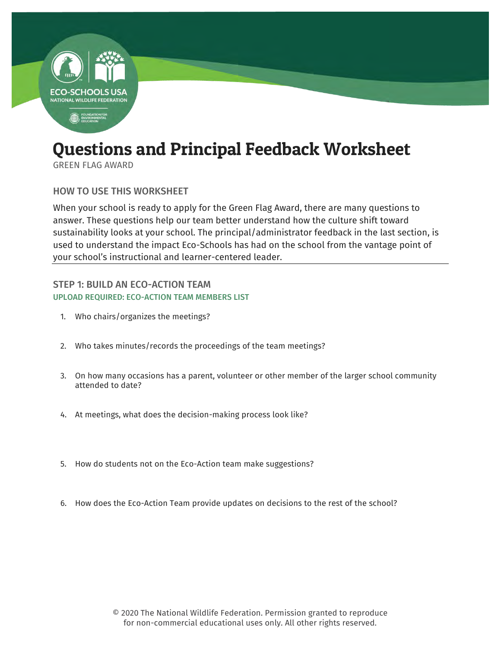

# Questions and Principal Feedback Worksheet

GREEN FLAG AWARD

HOW TO USE THIS WORKSHEET

When your school is ready to apply for the Green Flag Award, there are many questions to answer. These questions help our team better understand how the culture shift toward sustainability looks at your school. The principal/administrator feedback in the last section, is used to understand the impact Eco-Schools has had on the school from the vantage point of your school's instructional and learner-centered leader.

# STEP 1: BUILD AN ECO-ACTION TEAM UPLOAD REQUIRED: ECO-ACTION TEAM MEMBERS LIST

- 1. Who chairs/organizes the meetings?
- 2. Who takes minutes/records the proceedings of the team meetings?
- 3. On how many occasions has a parent, volunteer or other member of the larger school community attended to date?
- 4. At meetings, what does the decision-making process look like?
- 5. How do students not on the Eco-Action team make suggestions?
- 6. How does the Eco-Action Team provide updates on decisions to the rest of the school?

© 2020 The National Wildlife Federation. Permission granted to reproduce for non-commercial educational uses only. All other rights reserved.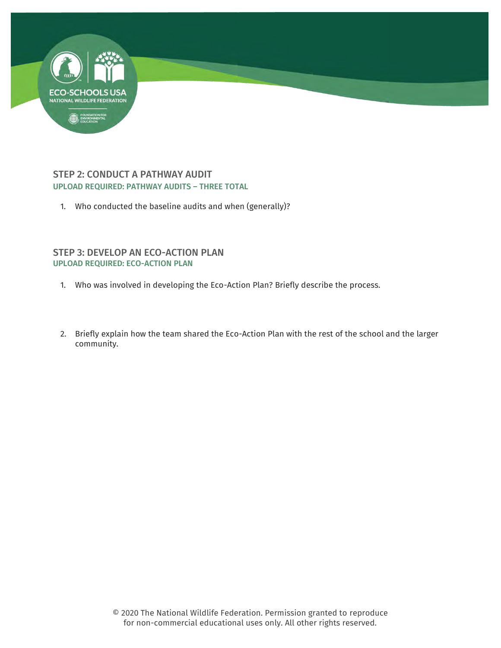

## STEP 2: CONDUCT A PATHWAY AUDIT UPLOAD REQUIRED: PATHWAY AUDITS – THREE TOTAL

1. Who conducted the baseline audits and when (generally)?

### STEP 3: DEVELOP AN ECO-ACTION PLAN UPLOAD REQUIRED: ECO-ACTION PLAN

1. Who was involved in developing the Eco-Action Plan? Briefly describe the process.

×.

2. Briefly explain how the team shared the Eco-Action Plan with the rest of the school and the larger community.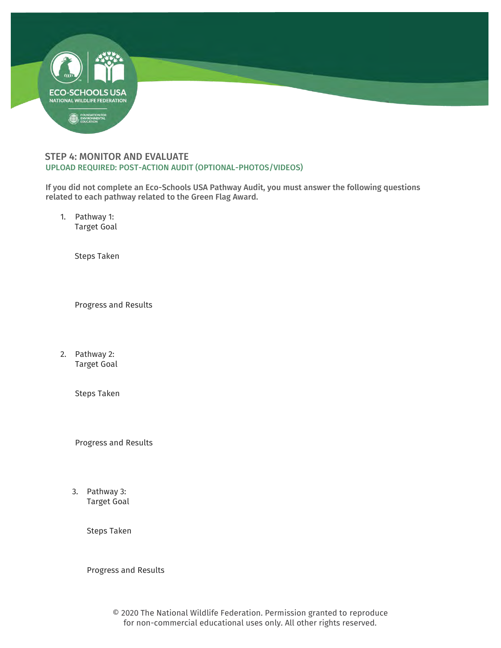

#### STEP 4: MONITOR AND EVALUATE UPLOAD REQUIRED: POST-ACTION AUDIT (OPTIONAL-PHOTOS/VIDEOS)

If you did not complete an Eco-Schools USA Pathway Audit, you must answer the following questions related to each pathway related to the Green Flag Award.

1. Pathway 1: Target Goal

Steps Taken

Progress and Results

2. Pathway 2: Target Goal

Steps Taken

Progress and Results

3. Pathway 3: Target Goal

Steps Taken

Progress and Results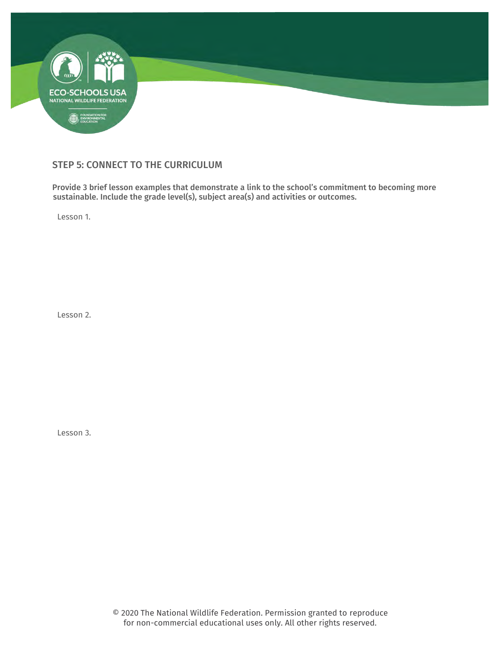

## STEP 5: CONNECT TO THE CURRICULUM

Provide 3 brief lesson examples that demonstrate a link to the school's commitment to becoming more sustainable. Include the grade level(s), subject area(s) and activities or outcomes.

Lesson 1.

Lesson 2.

Lesson 3.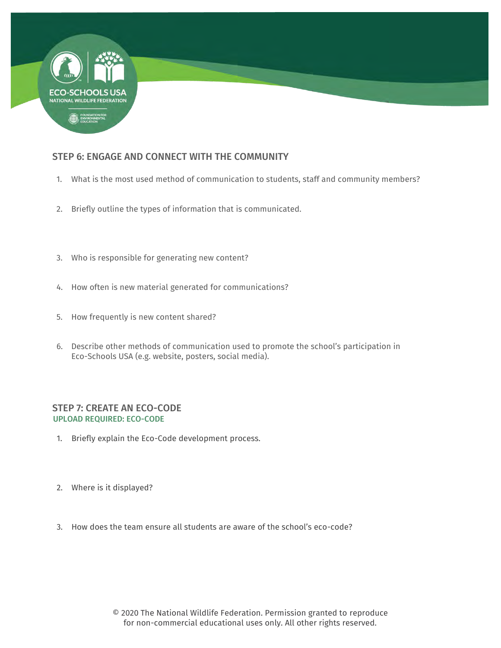

# STEP 6: ENGAGE AND CONNECT WITH THE COMMUNITY

1. What is the most used method of communication to students, staff and community members?

**Second** 

- 2. Briefly outline the types of information that is communicated.
- 3. Who is responsible for generating new content?
- 4. How often is new material generated for communications?
- 5. How frequently is new content shared?
- 6. Describe other methods of communication used to promote the school's participation in Eco-Schools USA (e.g. website, posters, social media).

#### STEP 7: CREATE AN ECO-CODE UPLOAD REQUIRED: ECO-CODE

- 1. Briefly explain the Eco-Code development process.
- 2. Where is it displayed?
- 3. How does the team ensure all students are aware of the school's eco-code?

© 2020 The National Wildlife Federation. Permission granted to reproduce for non-commercial educational uses only. All other rights reserved.